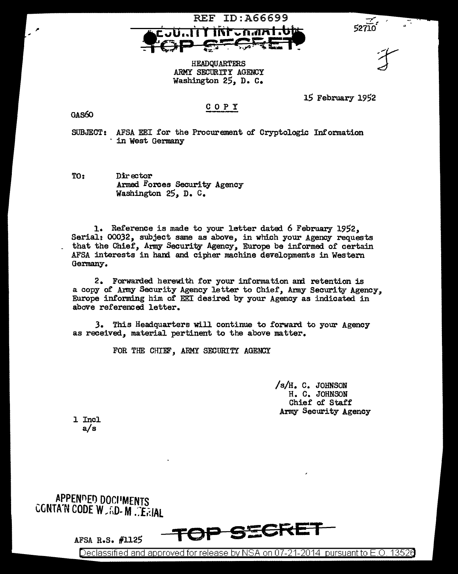

HEADQUARTERS ARMY SECURITY AGENCY Washington 25, D. c.

COPY

15 February 1952

 $\frac{1}{22710}$ 

## GAs60

SUBJECT: AFSA EEI for the Procurement of Cryptologic Information · in west Germany

TO: Director Armed Forces Security Agency Washington 25, D. c.

1. Reference is made to your letter dated 6 February 1952, Serial: 00032, subject same as above, in which your Agency requests that the Chief, Army Security Agency, Europe be informed. of certain AFSA interests in bani and cipher machine developments in Western Germany.

2. Forwarded herewith for your information and retention is a copy of Amy Security Agency letter to Chief, Army Security Agency, Europe informing him of EEI desired by your Agency as indicated in above referenced letter.

3. This Headquarters will continue to forward to your Agency as received, material pertinent to the above matter.

FOR THE CHIEF, ARMY SECURITY AGENCY

/s/H. C. JOHNSON H. C. JOHNSON Chief of Staff Army Security Agency

l Incl a/s

APPENDED DOCHMENTS CONTA'N CODE W.RD-M. ERIAL

AFSA R.S. #1125

**TOP STEEPING** 

Declassified and approved for release by NSA on 07-21-2014 pursuant to E.O. 13526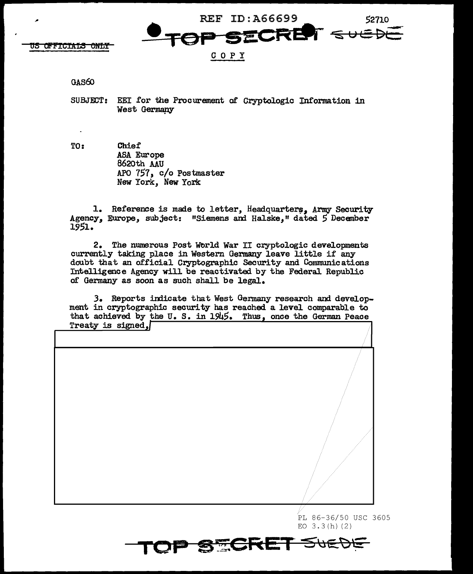<del>US OFFICIALS ONLY</del>

REF ID: A66699 52710 「こにに日  $s$ uet

COPY

## **GAS60**

- SUBJECT: EEI for the Procurement of Cryptologic Information in West Germany
- TO: Chief ASA Europe 8620th AAU APO 757, c/o Postmaster New York, New York

1. Reference is made to letter, Headquarters, Army Security Agency, Europe, subject: "Siemens and Halske," dated 5 December 1951.

2. The numerous Post World War II cryptologic developments currently taking place in Western Germany leave little if any doubt that an official Cryptographic Security and Communications Intelligence Agency will be reactivated by the Federal Republic of Germany as soon as such shall be legal.

3. Reports indicate that West Germany research and development in cryptographic security has reached a level comparable to that achieved by the U.S. in  $1945$ . Thus, once the German Peace Treaty is signed,



PL 86-36/50 USC 3605 EO  $3.3(h)$  (2)